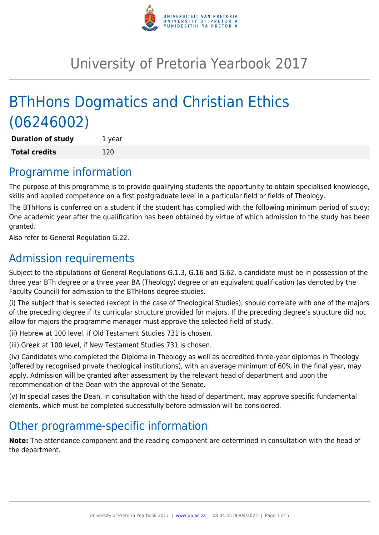

# University of Pretoria Yearbook 2017

# BThHons Dogmatics and Christian Ethics (06246002)

**Duration of study** 1 year **Total credits** 120

### Programme information

The purpose of this programme is to provide qualifying students the opportunity to obtain specialised knowledge, skills and applied competence on a first postgraduate level in a particular field or fields of Theology.

The BThHons is conferred on a student if the student has complied with the following minimum period of study: One academic year after the qualification has been obtained by virtue of which admission to the study has been granted.

Also refer to General Regulation G.22.

### Admission requirements

Subject to the stipulations of General Regulations G.1.3, G.16 and G.62, a candidate must be in possession of the three year BTh degree or a three year BA (Theology) degree or an equivalent qualification (as denoted by the Faculty Council) for admission to the BThHons degree studies.

(i) The subject that is selected (except in the case of Theological Studies), should correlate with one of the majors of the preceding degree if its curricular structure provided for majors. If the preceding degree's structure did not allow for majors the programme manager must approve the selected field of study.

(ii) Hebrew at 100 level, if Old Testament Studies 731 is chosen.

(iii) Greek at 100 level, if New Testament Studies 731 is chosen.

(iv) Candidates who completed the Diploma in Theology as well as accredited three-year diplomas in Theology (offered by recognised private theological institutions), with an average minimum of 60% in the final year, may apply. Admission will be granted after assessment by the relevant head of department and upon the recommendation of the Dean with the approval of the Senate.

(v) In special cases the Dean, in consultation with the head of department, may approve specific fundamental elements, which must be completed successfully before admission will be considered.

## Other programme-specific information

**Note:** The attendance component and the reading component are determined in consultation with the head of the department.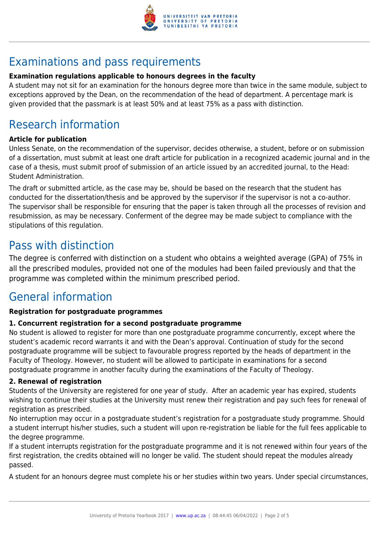

## Examinations and pass requirements

#### **Examination regulations applicable to honours degrees in the faculty**

A student may not sit for an examination for the honours degree more than twice in the same module, subject to exceptions approved by the Dean, on the recommendation of the head of department. A percentage mark is given provided that the passmark is at least 50% and at least 75% as a pass with distinction.

## Research information

#### **Article for publication**

Unless Senate, on the recommendation of the supervisor, decides otherwise, a student, before or on submission of a dissertation, must submit at least one draft article for publication in a recognized academic journal and in the case of a thesis, must submit proof of submission of an article issued by an accredited journal, to the Head: Student Administration.

The draft or submitted article, as the case may be, should be based on the research that the student has conducted for the dissertation/thesis and be approved by the supervisor if the supervisor is not a co-author. The supervisor shall be responsible for ensuring that the paper is taken through all the processes of revision and resubmission, as may be necessary. Conferment of the degree may be made subject to compliance with the stipulations of this regulation.

### Pass with distinction

The degree is conferred with distinction on a student who obtains a weighted average (GPA) of 75% in all the prescribed modules, provided not one of the modules had been failed previously and that the programme was completed within the minimum prescribed period.

### General information

#### **Registration for postgraduate programmes**

#### **1. Concurrent registration for a second postgraduate programme**

No student is allowed to register for more than one postgraduate programme concurrently, except where the student's academic record warrants it and with the Dean's approval. Continuation of study for the second postgraduate programme will be subject to favourable progress reported by the heads of department in the Faculty of Theology. However, no student will be allowed to participate in examinations for a second postgraduate programme in another faculty during the examinations of the Faculty of Theology.

#### **2. Renewal of registration**

Students of the University are registered for one year of study. After an academic year has expired, students wishing to continue their studies at the University must renew their registration and pay such fees for renewal of registration as prescribed.

No interruption may occur in a postgraduate student's registration for a postgraduate study programme. Should a student interrupt his/her studies, such a student will upon re-registration be liable for the full fees applicable to the degree programme.

If a student interrupts registration for the postgraduate programme and it is not renewed within four years of the first registration, the credits obtained will no longer be valid. The student should repeat the modules already passed.

A student for an honours degree must complete his or her studies within two years. Under special circumstances,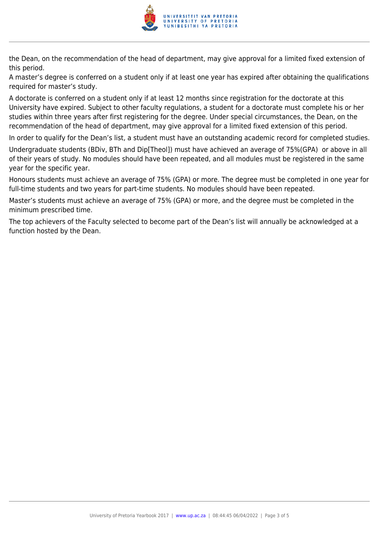

the Dean, on the recommendation of the head of department, may give approval for a limited fixed extension of this period.

A master's degree is conferred on a student only if at least one year has expired after obtaining the qualifications required for master's study.

A doctorate is conferred on a student only if at least 12 months since registration for the doctorate at this University have expired. Subject to other faculty regulations, a student for a doctorate must complete his or her studies within three years after first registering for the degree. Under special circumstances, the Dean, on the recommendation of the head of department, may give approval for a limited fixed extension of this period.

In order to qualify for the Dean's list, a student must have an outstanding academic record for completed studies.

Undergraduate students (BDiv, BTh and Dip[Theol]) must have achieved an average of 75%(GPA) or above in all of their years of study. No modules should have been repeated, and all modules must be registered in the same year for the specific year.

Honours students must achieve an average of 75% (GPA) or more. The degree must be completed in one year for full-time students and two years for part-time students. No modules should have been repeated.

Master's students must achieve an average of 75% (GPA) or more, and the degree must be completed in the minimum prescribed time.

The top achievers of the Faculty selected to become part of the Dean's list will annually be acknowledged at a function hosted by the Dean.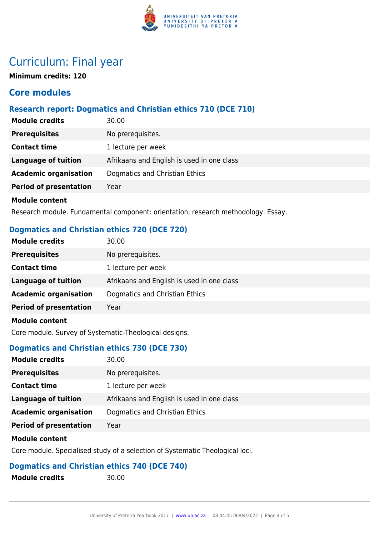

### Curriculum: Final year

**Minimum credits: 120**

### **Core modules**

#### **Research report: Dogmatics and Christian ethics 710 (DCE 710)**

| <b>Module credits</b>         | 30.00                                      |
|-------------------------------|--------------------------------------------|
| <b>Prerequisites</b>          | No prerequisites.                          |
| <b>Contact time</b>           | 1 lecture per week                         |
| Language of tuition           | Afrikaans and English is used in one class |
| <b>Academic organisation</b>  | Dogmatics and Christian Ethics             |
| <b>Period of presentation</b> | Year                                       |
| <b>Module content</b>         |                                            |

Research module. Fundamental component: orientation, research methodology. Essay.

#### **Dogmatics and Christian ethics 720 (DCE 720)**

| <b>Module credits</b>         | 30.00                                      |
|-------------------------------|--------------------------------------------|
| <b>Prerequisites</b>          | No prerequisites.                          |
| <b>Contact time</b>           | 1 lecture per week                         |
| <b>Language of tuition</b>    | Afrikaans and English is used in one class |
| <b>Academic organisation</b>  | Dogmatics and Christian Ethics             |
| <b>Period of presentation</b> | Year                                       |
| <b>Module content</b>         |                                            |

Core module. Survey of Systematic-Theological designs.

#### **Dogmatics and Christian ethics 730 (DCE 730)**

| <b>Module credits</b>         | 30.00                                      |
|-------------------------------|--------------------------------------------|
| <b>Prerequisites</b>          | No prerequisites.                          |
| <b>Contact time</b>           | 1 lecture per week                         |
| Language of tuition           | Afrikaans and English is used in one class |
| <b>Academic organisation</b>  | Dogmatics and Christian Ethics             |
| <b>Period of presentation</b> | Year                                       |

#### **Module content**

Core module. Specialised study of a selection of Systematic Theological loci.

### **Dogmatics and Christian ethics 740 (DCE 740)**

**Module credits** 30.00

| <b>Module credits</b> |  |
|-----------------------|--|
|-----------------------|--|